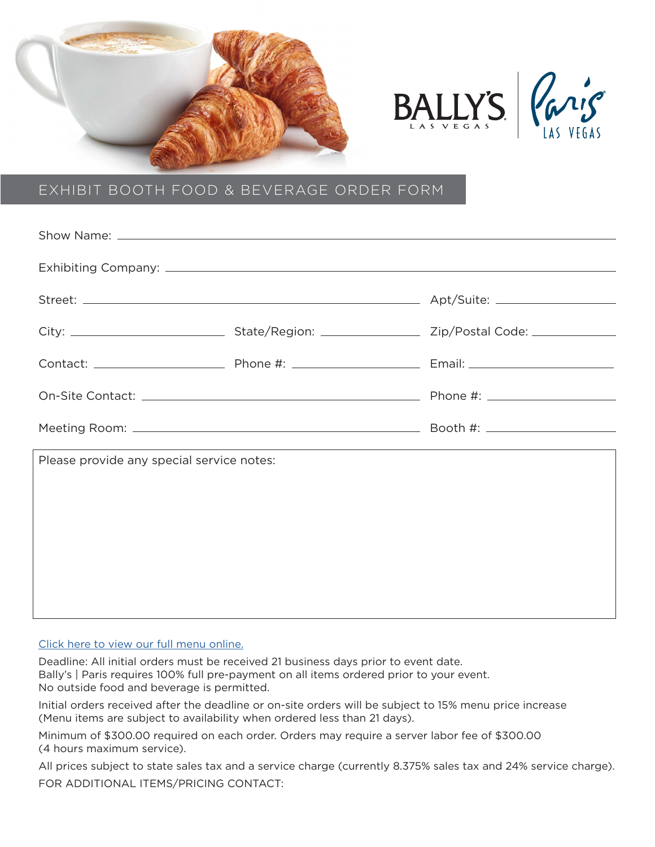





## EXHIBIT BOOTH FOOD & BEVERAGE ORDER FORM

| Please provide any special service notes: | ,我们也不会有什么。""我们的人,我们也不会有什么?""我们的人,我们也不会有什么?""我们的人,我们也不会有什么?""我们的人,我们也不会有什么?""我们的人 |
|-------------------------------------------|----------------------------------------------------------------------------------|
|                                           |                                                                                  |
|                                           |                                                                                  |
|                                           |                                                                                  |
|                                           |                                                                                  |
|                                           |                                                                                  |

## [Click here to view our full menu online.](https://caesars.dmplocal.com/dsc/collateral/2021_Ballys__Paris_Catering_Menus.pdf)

Deadline: All initial orders must be received 21 business days prior to event date. Bally's | Paris requires 100% full pre-payment on all items ordered prior to your event. No outside food and beverage is permitted.

Initial orders received after the deadline or on-site orders will be subject to 15% menu price increase (Menu items are subject to availability when ordered less than 21 days).

Minimum of \$300.00 required on each order. Orders may require a server labor fee of \$300.00 (4 hours maximum service).

All prices subject to state sales tax and a service charge (currently 8.375% sales tax and 24% service charge). FOR ADDITIONAL ITEMS/PRICING CONTACT: